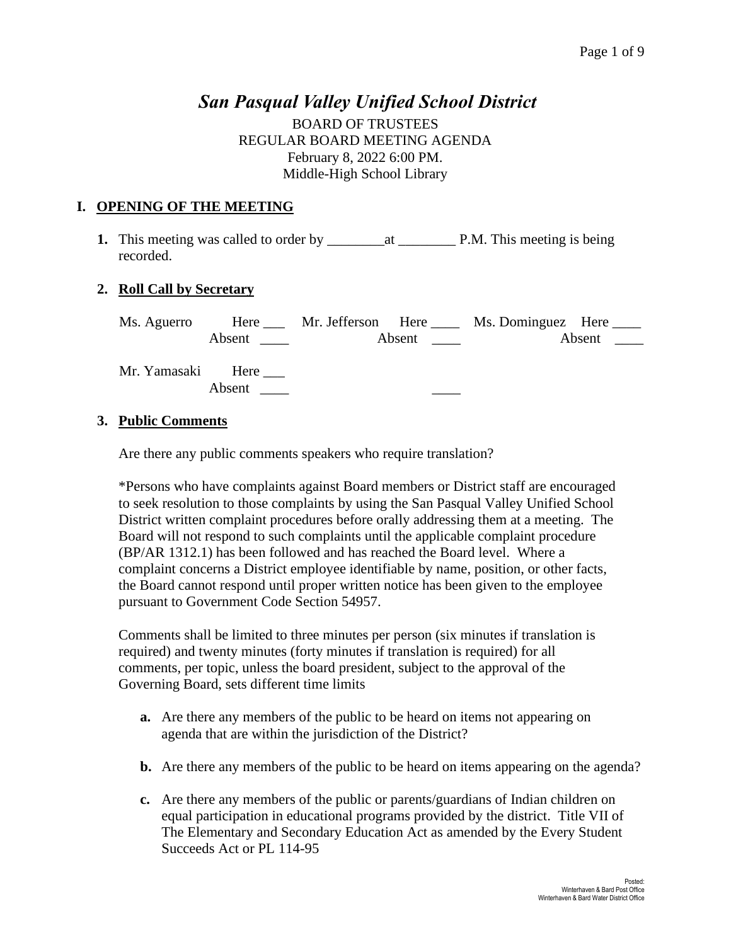# *San Pasqual Valley Unified School District*

BOARD OF TRUSTEES REGULAR BOARD MEETING AGENDA February 8, 2022 6:00 PM. Middle-High School Library

# **I. OPENING OF THE MEETING**

**1.** This meeting was called to order by \_\_\_\_\_\_\_\_at \_\_\_\_\_\_\_\_ P.M. This meeting is being recorded.

### **2. Roll Call by Secretary**

Ms. Aguerro Here Mr. Jefferson Here Ms. Dominguez Here Absent \_\_\_\_ Absent \_\_\_ Absent \_\_\_ Absent \_\_\_ Mr. Yamasaki Here \_\_\_\_ Absent  $\qquad$ 

#### **3. Public Comments**

Are there any public comments speakers who require translation?

\*Persons who have complaints against Board members or District staff are encouraged to seek resolution to those complaints by using the San Pasqual Valley Unified School District written complaint procedures before orally addressing them at a meeting. The Board will not respond to such complaints until the applicable complaint procedure (BP/AR 1312.1) has been followed and has reached the Board level. Where a complaint concerns a District employee identifiable by name, position, or other facts, the Board cannot respond until proper written notice has been given to the employee pursuant to Government Code Section 54957.

Comments shall be limited to three minutes per person (six minutes if translation is required) and twenty minutes (forty minutes if translation is required) for all comments, per topic, unless the board president, subject to the approval of the Governing Board, sets different time limits

- **a.** Are there any members of the public to be heard on items not appearing on agenda that are within the jurisdiction of the District?
- **b.** Are there any members of the public to be heard on items appearing on the agenda?
- **c.** Are there any members of the public or parents/guardians of Indian children on equal participation in educational programs provided by the district. Title VII of The Elementary and Secondary Education Act as amended by the Every Student Succeeds Act or PL 114-95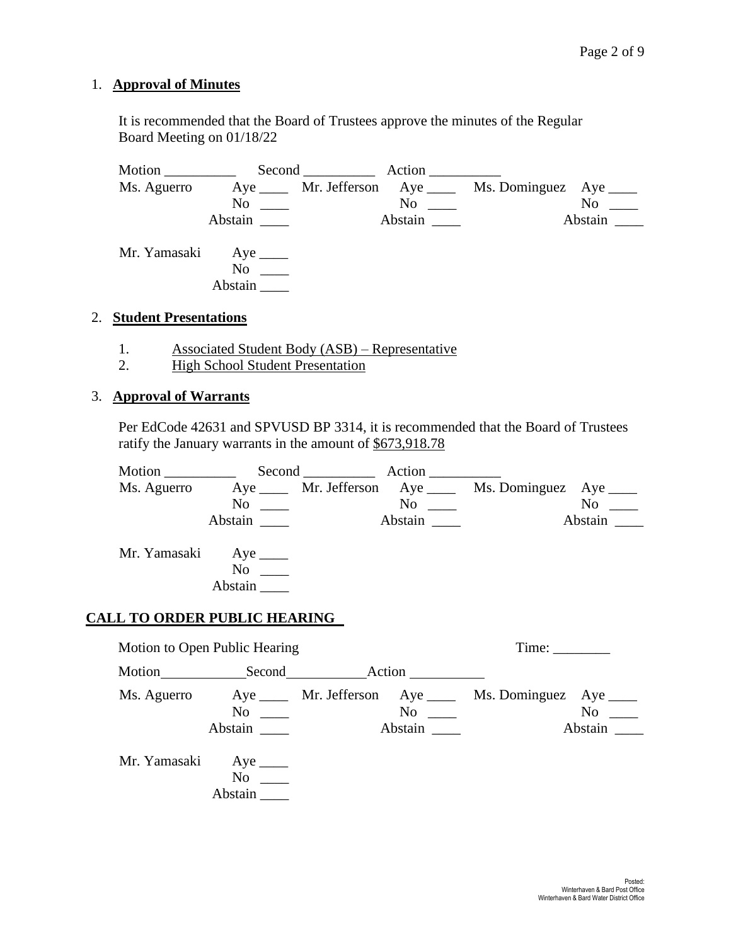#### 1. **Approval of Minutes**

It is recommended that the Board of Trustees approve the minutes of the Regular Board Meeting on 01/18/22

Motion \_\_\_\_\_\_\_\_\_\_ Second \_\_\_\_\_\_\_\_\_\_ Action \_\_\_\_\_\_\_\_\_\_ Ms. Aguerro Aye \_\_\_\_ Mr. Jefferson Aye \_\_\_\_ Ms. Dominguez Aye \_\_\_\_ No \_\_\_ No \_\_ Abstain \_\_\_\_ Abstain \_\_\_ Abstain \_\_\_ Abstain \_\_\_ Mr. Yamasaki Aye \_\_\_\_ No  $\_\_$ Abstain \_\_\_\_

#### 2. **Student Presentations**

- 1. Associated Student Body (ASB) Representative
- 2. High School Student Presentation

#### 3. **Approval of Warrants**

Per EdCode 42631 and SPVUSD BP 3314, it is recommended that the Board of Trustees ratify the January warrants in the amount of \$673,918.78

| Motion       |                           | Second                             | Action ________ |                         |                                  |
|--------------|---------------------------|------------------------------------|-----------------|-------------------------|----------------------------------|
| Ms. Aguerro  |                           | Aye ______ Mr. Jefferson Aye _____ |                 | Ms. Dominguez Aye _____ |                                  |
|              | N <sub>0</sub>            |                                    | N <sub>0</sub>  |                         | N <sub>0</sub>                   |
|              | Abstain                   |                                    | Abstain         |                         | Abstain $\overline{\phantom{a}}$ |
| Mr. Yamasaki | N <sub>0</sub><br>Abstain |                                    |                 |                         |                                  |

#### **CALL TO ORDER PUBLIC HEARING**

Motion to Open Public Hearing Time: Time: Motion Second Action Ms. Aguerro Aye Mr. Jefferson Aye Ms. Dominguez Aye Ms. Dominguez Aye Ms. Dominguez Aye Mo  $No \ \_$ Abstain \_\_\_\_ Abstain \_\_\_ Abstain \_\_\_ Abstain \_\_\_ Mr. Yamasaki Aye \_\_\_\_\_ No \_\_\_\_ Abstain \_\_\_\_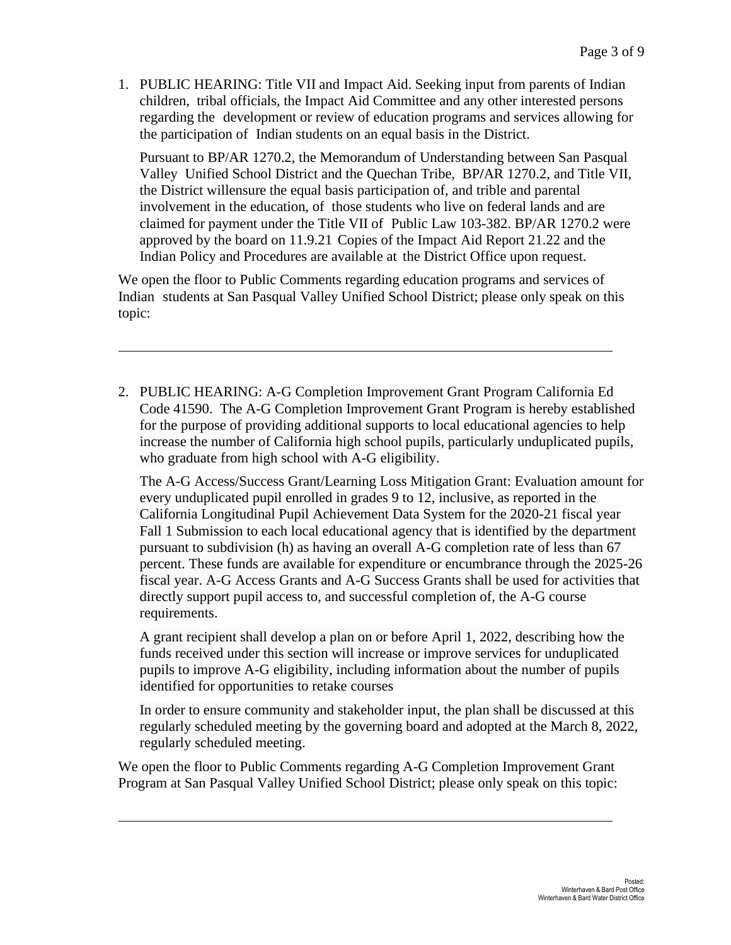1. PUBLIC HEARING: Title VII and Impact Aid. Seeking input from parents of Indian children, tribal officials, the Impact Aid Committee and any other interested persons regarding the development or review of education programs and services allowing for the participation of Indian students on an equal basis in the District.

Pursuant to BP/AR 1270.2, the Memorandum of Understanding between San Pasqual Valley Unified School District and the Quechan Tribe, BP**/**AR 1270.2, and Title VII, the District willensure the equal basis participation of, and trible and parental involvement in the education, of those students who live on federal lands and are claimed for payment under the Title VII of Public Law 103-382. BP/AR 1270.2 were approved by the board on 11.9.21 Copies of the Impact Aid Report 21.22 and the Indian Policy and Procedures are available at the District Office upon request.

We open the floor to Public Comments regarding education programs and services of Indian students at San Pasqual Valley Unified School District; please only speak on this topic:

2. PUBLIC HEARING: A-G Completion Improvement Grant Program California Ed Code 41590. The A-G Completion Improvement Grant Program is hereby established for the purpose of providing additional supports to local educational agencies to help increase the number of California high school pupils, particularly unduplicated pupils, who graduate from high school with A-G eligibility.

The A-G Access/Success Grant/Learning Loss Mitigation Grant: Evaluation amount for every unduplicated pupil enrolled in grades 9 to 12, inclusive, as reported in the California Longitudinal Pupil Achievement Data System for the 2020-21 fiscal year Fall 1 Submission to each local educational agency that is identified by the department pursuant to subdivision (h) as having an overall A-G completion rate of less than 67 percent. These funds are available for expenditure or encumbrance through the 2025-26 fiscal year. A-G Access Grants and A-G Success Grants shall be used for activities that directly support pupil access to, and successful completion of, the A-G course requirements.

A grant recipient shall develop a plan on or before April 1, 2022, describing how the funds received under this section will increase or improve services for unduplicated pupils to improve A-G eligibility, including information about the number of pupils identified for opportunities to retake courses

In order to ensure community and stakeholder input, the plan shall be discussed at this regularly scheduled meeting by the governing board and adopted at the March 8, 2022, regularly scheduled meeting.

We open the floor to Public Comments regarding A-G Completion Improvement Grant Program at San Pasqual Valley Unified School District; please only speak on this topic: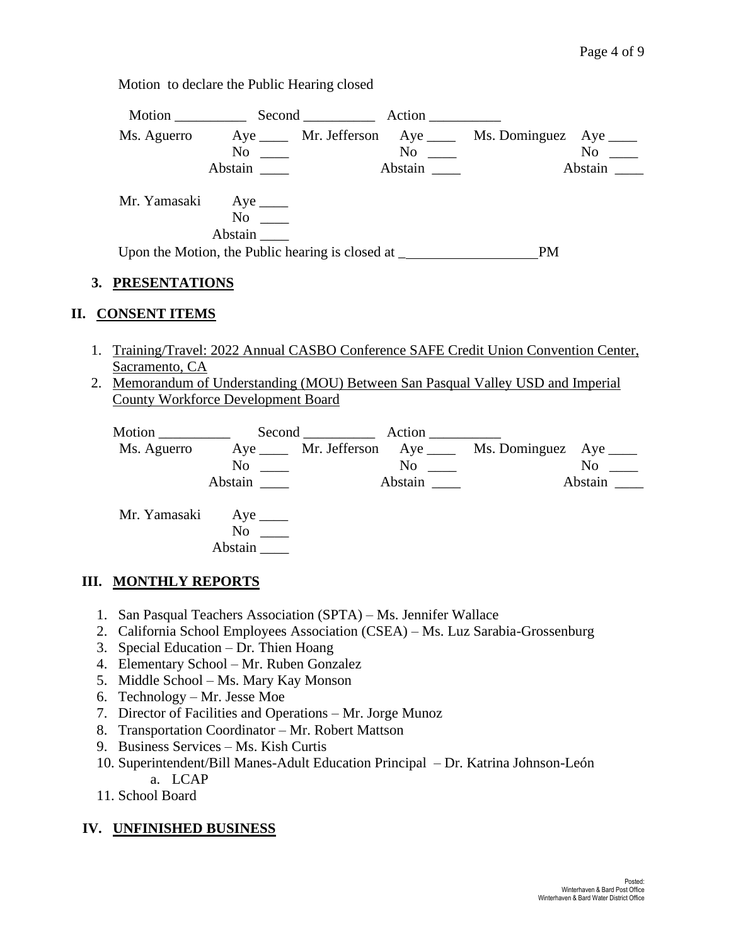Motion to declare the Public Hearing closed

| Motion                 |                                                                                                                                                                                                                                | Second Action |           |                                                           |
|------------------------|--------------------------------------------------------------------------------------------------------------------------------------------------------------------------------------------------------------------------------|---------------|-----------|-----------------------------------------------------------|
| Ms. Aguerro            |                                                                                                                                                                                                                                |               |           | Aye ______ Mr. Jefferson Aye _____ Ms. Dominguez Aye ____ |
|                        | No the set of the set of the set of the set of the set of the set of the set of the set of the set of the set of the set of the set of the set of the set of the set of the set of the set of the set of the set of the set of |               | $No \ \_$ | $No \ \_$                                                 |
|                        | Abstain                                                                                                                                                                                                                        |               | Abstain   | Abstain                                                   |
| Mr. Yamasaki Aye _____ | No<br>Abstain                                                                                                                                                                                                                  |               |           |                                                           |
|                        | Upon the Motion, the Public hearing is closed at ________________________________                                                                                                                                              |               |           | <b>PM</b>                                                 |

# **3. PRESENTATIONS**

## **II. CONSENT ITEMS**

- 1. Training/Travel: 2022 Annual CASBO Conference SAFE Credit Union Convention Center, Sacramento, CA
- 2. Memorandum of Understanding (MOU) Between San Pasqual Valley USD and Imperial County Workforce Development Board

| Motion       |                 | $Second$ <sub>_______________</sub> | Action  |                                                         |                |
|--------------|-----------------|-------------------------------------|---------|---------------------------------------------------------|----------------|
| Ms. Aguerro  |                 |                                     |         | Aye _____ Mr. Jefferson Aye ____ Ms. Dominguez Aye ____ |                |
|              | $\rm No$ $\_\_$ |                                     | No      |                                                         | N <sub>0</sub> |
|              | Abstain         |                                     | Abstain |                                                         | Abstain        |
| Mr. Yamasaki | Aye $\_\_\_\_\$ |                                     |         |                                                         |                |
|              | N <sub>0</sub>  |                                     |         |                                                         |                |
|              | Abstain         |                                     |         |                                                         |                |

# **III. MONTHLY REPORTS**

- 1. San Pasqual Teachers Association (SPTA) Ms. Jennifer Wallace
- 2. California School Employees Association (CSEA) Ms. Luz Sarabia-Grossenburg
- 3. Special Education Dr. Thien Hoang
- 4. Elementary School Mr. Ruben Gonzalez
- 5. Middle School Ms. Mary Kay Monson
- 6. Technology Mr. Jesse Moe
- 7. Director of Facilities and Operations Mr. Jorge Munoz
- 8. Transportation Coordinator Mr. Robert Mattson
- 9. Business Services Ms. Kish Curtis
- 10. Superintendent/Bill Manes-Adult Education Principal Dr. Katrina Johnson-León a. LCAP
- 11. School Board

# **IV. UNFINISHED BUSINESS**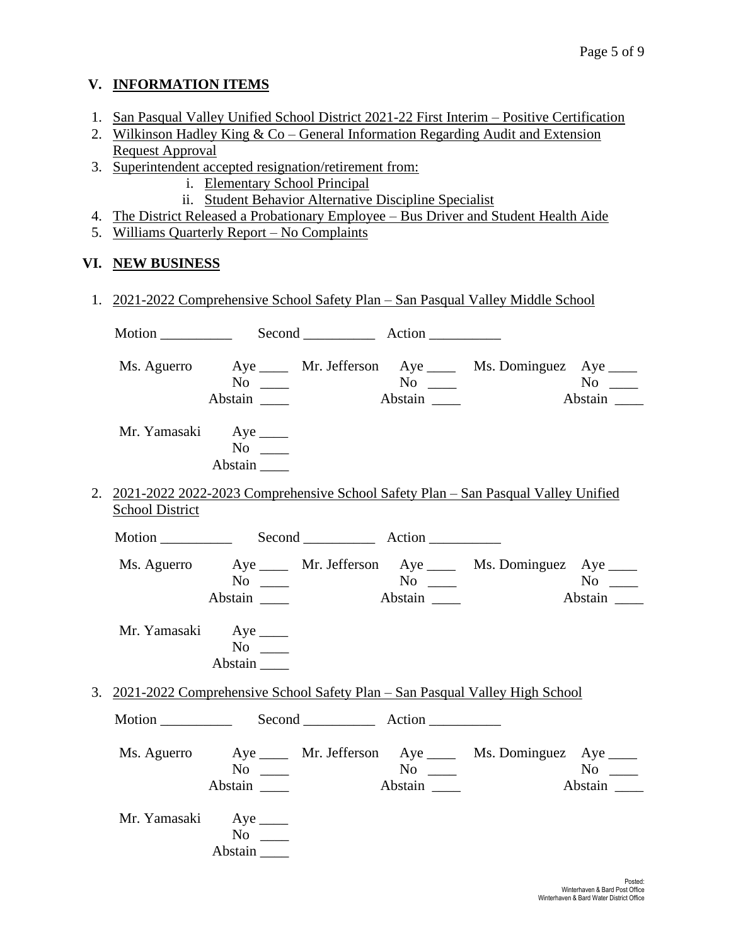# **V. INFORMATION ITEMS**

- 1. San Pasqual Valley Unified School District 2021-22 First Interim Positive Certification
- 2. Wilkinson Hadley King & Co General Information Regarding Audit and Extension Request Approval
- 3. Superintendent accepted resignation/retirement from:
	- i. Elementary School Principal
	- ii. Student Behavior Alternative Discipline Specialist
- 4. The District Released a Probationary Employee Bus Driver and Student Health Aide
- 5. Williams Quarterly Report No Complaints

# **VI. NEW BUSINESS**

| 1. 2021-2022 Comprehensive School Safety Plan – San Pasqual Valley Middle School |                              |  |         |                                                                                      |                      |  |
|----------------------------------------------------------------------------------|------------------------------|--|---------|--------------------------------------------------------------------------------------|----------------------|--|
|                                                                                  |                              |  |         |                                                                                      |                      |  |
|                                                                                  | $No \_$<br>Abstain           |  | Abstain | Ms. Aguerro Aye ____ Mr. Jefferson Aye ____ Ms. Dominguez Aye ____                   | $No \_$<br>Abstain   |  |
| Mr. Yamasaki Aye                                                                 | $No \ \_$<br>Abstain         |  |         |                                                                                      |                      |  |
| <b>School District</b>                                                           |                              |  |         | 2. 2021-2022 2022-2023 Comprehensive School Safety Plan - San Pasqual Valley Unified |                      |  |
|                                                                                  |                              |  |         |                                                                                      |                      |  |
|                                                                                  | $No \_$<br>Abstain           |  | Abstain | Ms. Aguerro Aye _____ Mr. Jefferson Aye _____ Ms. Dominguez Aye ____                 | $No \_$<br>Abstain   |  |
| Mr. Yamasaki Aye ______                                                          | $No \ \_$<br>Abstain         |  |         |                                                                                      |                      |  |
|                                                                                  |                              |  |         | 3. 2021-2022 Comprehensive School Safety Plan – San Pasqual Valley High School       |                      |  |
|                                                                                  |                              |  |         |                                                                                      |                      |  |
|                                                                                  | $No \ \_$<br>Abstain _______ |  | Abstain | Ms. Aguerro Aye _____ Mr. Jefferson Aye _____ Ms. Dominguez Aye ____                 | $No \ \_$<br>Abstain |  |
| Mr. Yamasaki Aye                                                                 | No<br>Abstain                |  |         |                                                                                      |                      |  |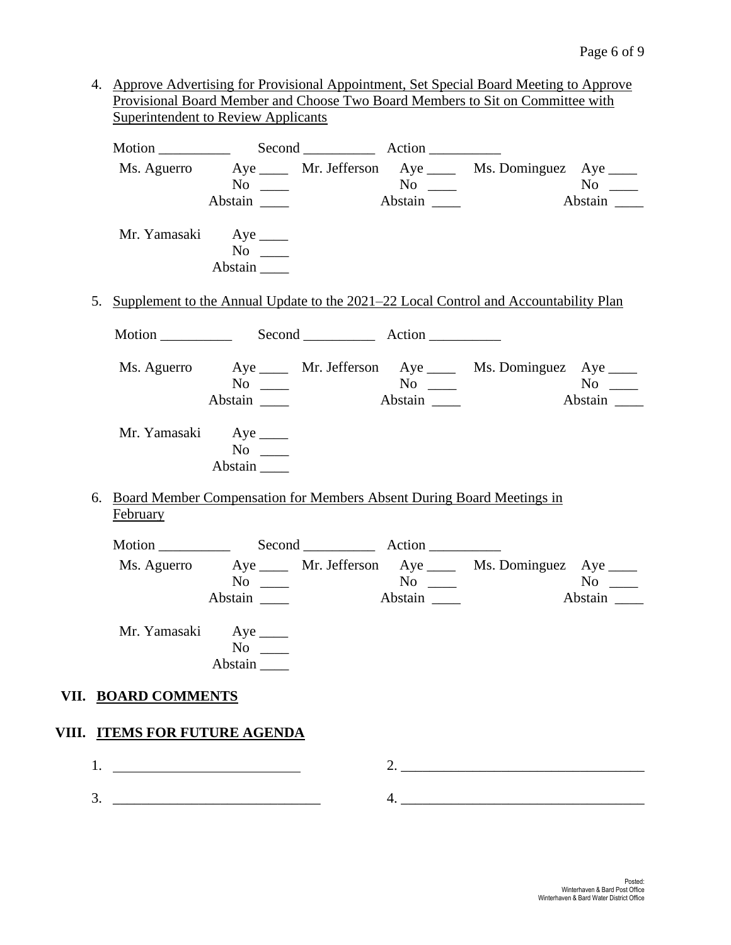4. Approve Advertising for Provisional Appointment, Set Special Board Meeting to Approve Provisional Board Member and Choose Two Board Members to Sit on Committee with Superintendent to Review Applicants

|                               | $No \ \_$                                       |                                        | Ms. Aguerro Aye _____ Mr. Jefferson Aye _____ Ms. Dominguez Aye ____                    |                             |
|-------------------------------|-------------------------------------------------|----------------------------------------|-----------------------------------------------------------------------------------------|-----------------------------|
|                               | Abstain _______                                 |                                        |                                                                                         | Abstain                     |
|                               | Mr. Yamasaki Aye ______<br>$No \ \_$<br>Abstain |                                        |                                                                                         |                             |
|                               |                                                 |                                        | 5. Supplement to the Annual Update to the 2021–22 Local Control and Accountability Plan |                             |
|                               |                                                 |                                        |                                                                                         |                             |
| Ms. Aguerro                   | $No \ \_$<br>Abstain _______                    | $N^{\rm o}$ $\qquad \qquad$<br>Abstain | Aye _____ Mr. Jefferson Aye ____ Ms. Dominguez Aye ____                                 | Abstain                     |
| Mr. Yamasaki Aye              | $No \_$<br>Abstain                              |                                        |                                                                                         |                             |
| February                      |                                                 |                                        | 6. Board Member Compensation for Members Absent During Board Meetings in                |                             |
|                               |                                                 |                                        |                                                                                         |                             |
|                               | $No \ \_$<br>Abstain ________                   |                                        | Ms. Aguerro Aye _____ Mr. Jefferson Aye ____ Ms. Dominguez Aye ____                     | $\overline{N}$ o<br>Abstain |
| Mr. Yamasaki Aye              | $No \ \_$<br>Abstain                            |                                        |                                                                                         |                             |
| VII. BOARD COMMENTS           |                                                 |                                        |                                                                                         |                             |
| VIII. ITEMS FOR FUTURE AGENDA |                                                 |                                        |                                                                                         |                             |
|                               |                                                 |                                        |                                                                                         |                             |
|                               |                                                 |                                        |                                                                                         |                             |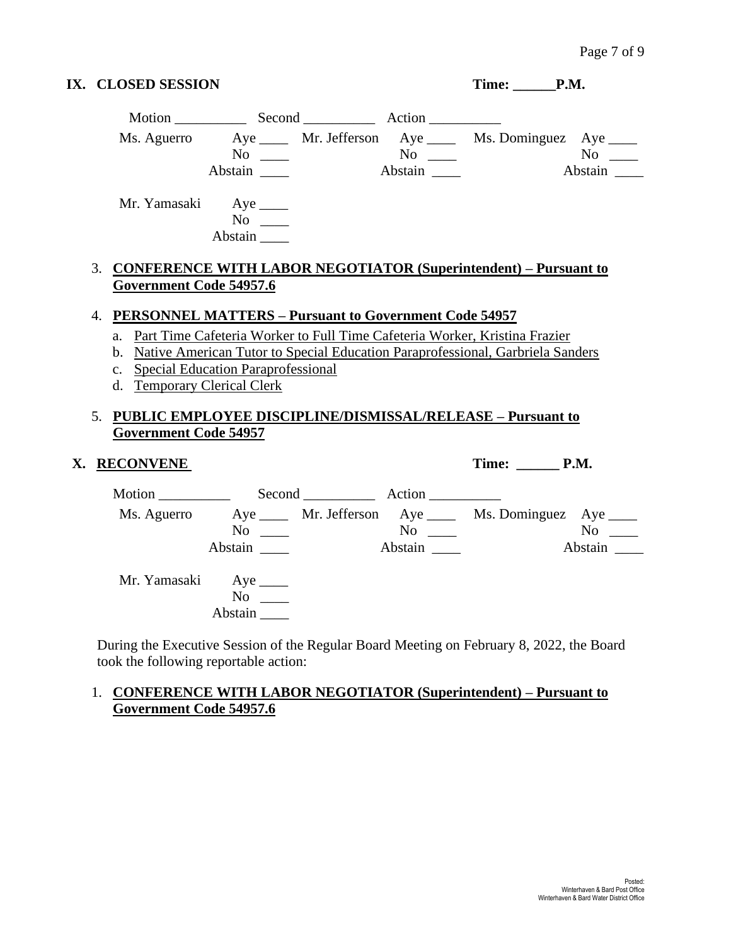### **IX. CLOSED SESSION** Time: \_\_\_\_\_\_P.M.

| Motion       |                                              | Second | Action                                      |                          |                                                                                                                                                                                                                               |
|--------------|----------------------------------------------|--------|---------------------------------------------|--------------------------|-------------------------------------------------------------------------------------------------------------------------------------------------------------------------------------------------------------------------------|
| Ms. Aguerro  |                                              |        |                                             | Ms. Dominguez Aye ______ |                                                                                                                                                                                                                               |
|              | No                                           |        | $\overline{N_{0}}$ $\overline{\phantom{0}}$ |                          | No note that the set of the set of the set of the set of the set of the set of the set of the set of the set of the set of the set of the set of the set of the set of the set of the set of the set of the set of the set of |
|              | Abstain                                      |        | Abstain                                     |                          | Abstain                                                                                                                                                                                                                       |
| Mr. Yamasaki | Aye $\_\_\_\_\$<br>N <sub>0</sub><br>Abstain |        |                                             |                          |                                                                                                                                                                                                                               |

### 3. **CONFERENCE WITH LABOR NEGOTIATOR (Superintendent) – Pursuant to Government Code 54957.6**

#### 4. **PERSONNEL MATTERS – Pursuant to Government Code 54957**

- a. Part Time Cafeteria Worker to Full Time Cafeteria Worker, Kristina Frazier
- b. Native American Tutor to Special Education Paraprofessional, Garbriela Sanders
- c. Special Education Paraprofessional
- d. Temporary Clerical Clerk

#### 5. **PUBLIC EMPLOYEE DISCIPLINE/DISMISSAL/RELEASE – Pursuant to Government Code 54957**

### **X. RECONVENE Time: \_\_\_\_\_\_ P.M.**

| Motion $\qquad \qquad$ |                           | $Second$ <sub>______________</sub>    | Action                    |                          |                           |
|------------------------|---------------------------|---------------------------------------|---------------------------|--------------------------|---------------------------|
| Ms. Aguerro            | N <sub>0</sub><br>Abstain | $Aye$ _____ Mr. Jefferson $Aye$ _____ | N <sub>0</sub><br>Abstain | Ms. Dominguez Aye ______ | N <sub>o</sub><br>Abstain |
| Mr. Yamasaki           | N <sub>0</sub><br>Abstain |                                       |                           |                          |                           |

During the Executive Session of the Regular Board Meeting on February 8, 2022, the Board took the following reportable action:

#### 1. **CONFERENCE WITH LABOR NEGOTIATOR (Superintendent) – Pursuant to Government Code 54957.6**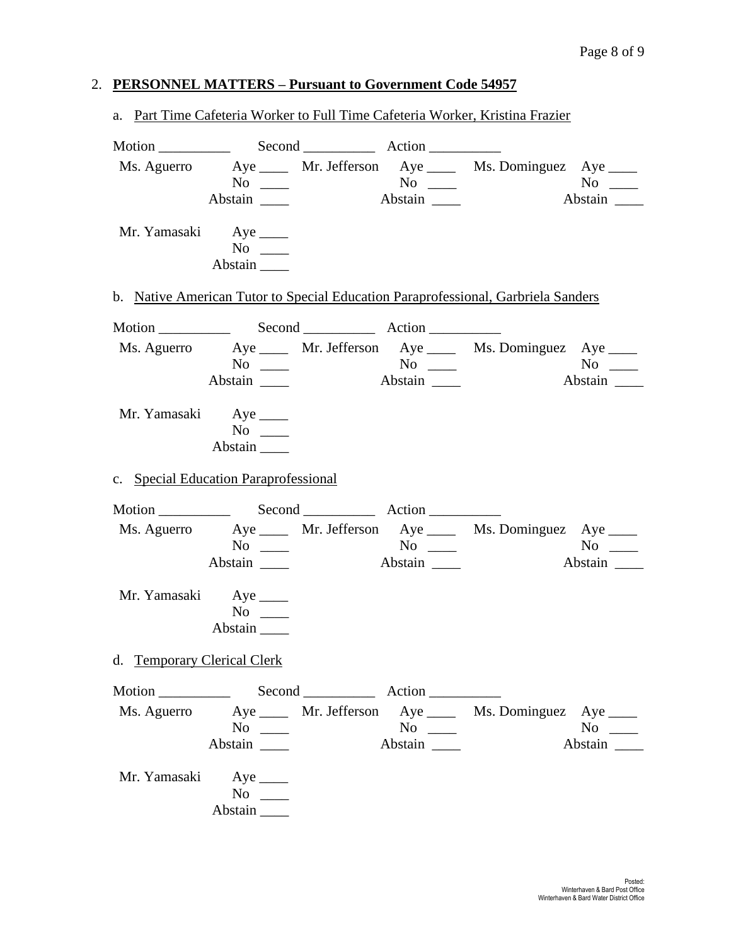# 2. **PERSONNEL MATTERS – Pursuant to Government Code 54957**

| a. Part Time Cafeteria Worker to Full Time Cafeteria Worker, Kristina Frazier |                                                                                   |                  |  |                                                              |  |  |  |
|-------------------------------------------------------------------------------|-----------------------------------------------------------------------------------|------------------|--|--------------------------------------------------------------|--|--|--|
|                                                                               |                                                                                   |                  |  |                                                              |  |  |  |
|                                                                               | Ms. Aguerro Aye _____ Mr. Jefferson Aye _____ Ms. Dominguez Aye ____              |                  |  |                                                              |  |  |  |
| Mr. Yamasaki Aye ______                                                       | $No \t —$<br>Abstain                                                              |                  |  |                                                              |  |  |  |
|                                                                               | b. Native American Tutor to Special Education Paraprofessional, Garbriela Sanders |                  |  |                                                              |  |  |  |
|                                                                               |                                                                                   |                  |  |                                                              |  |  |  |
|                                                                               | Ms. Aguerro Aye _____ Mr. Jefferson Aye _____ Ms. Dominguez Aye ____              |                  |  |                                                              |  |  |  |
|                                                                               | $No \_$                                                                           |                  |  | $No \ \_$<br>Abstain $\frac{1}{\sqrt{1-\frac{1}{2}}}\right)$ |  |  |  |
|                                                                               |                                                                                   | Abstain          |  |                                                              |  |  |  |
| Mr. Yamasaki Aye                                                              | $No \ \_$<br>Abstain                                                              |                  |  |                                                              |  |  |  |
|                                                                               | c. Special Education Paraprofessional                                             |                  |  |                                                              |  |  |  |
|                                                                               |                                                                                   |                  |  |                                                              |  |  |  |
|                                                                               | Ms. Aguerro Aye _____ Mr. Jefferson Aye _____ Ms. Dominguez Aye ____              |                  |  |                                                              |  |  |  |
|                                                                               | $No \ \_$                                                                         |                  |  |                                                              |  |  |  |
|                                                                               | Abstain                                                                           |                  |  |                                                              |  |  |  |
|                                                                               | Mr. Yamasaki Aye _____<br>$No \_$<br>Abstain                                      |                  |  |                                                              |  |  |  |
| d. Temporary Clerical Clerk                                                   |                                                                                   |                  |  |                                                              |  |  |  |
|                                                                               |                                                                                   |                  |  |                                                              |  |  |  |
|                                                                               | Ms. Aguerro Aye _____ Mr. Jefferson Aye ____ Ms. Dominguez Aye ____               |                  |  |                                                              |  |  |  |
|                                                                               | $No \ \_$                                                                         | $\overline{N_0}$ |  | $No \_$                                                      |  |  |  |
|                                                                               | Abstain                                                                           | Abstain          |  | Abstain                                                      |  |  |  |
| Mr. Yamasaki Aye                                                              | $No \ \_$<br>Abstain                                                              |                  |  |                                                              |  |  |  |